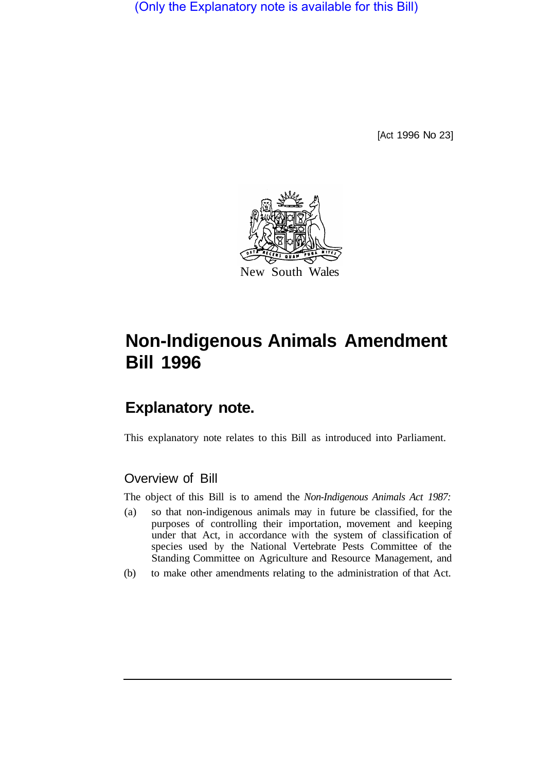(Only the Explanatory note is available for this Bill)

[Act 1996 No 23]



# **Non-Indigenous Animals Amendment Bill 1996**

# **Explanatory note.**

This explanatory note relates to this Bill as introduced into Parliament.

## Overview of Bill

The object of this Bill is to amend the *Non-Indigenous Animals Act 1987:* 

- (a) so that non-indigenous animals may in future be classified, for the purposes of controlling their importation, movement and keeping under that Act, in accordance with the system of classification of species used by the National Vertebrate Pests Committee of the Standing Committee on Agriculture and Resource Management, and
- (b) to make other amendments relating to the administration of that Act.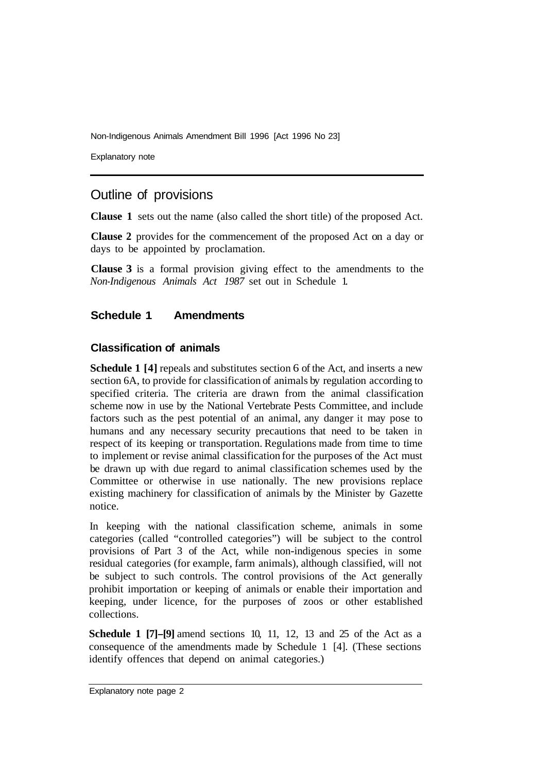Non-Indigenous Animals Amendment Bill 1996 [Act 1996 No 23]

Explanatory note

### Outline of provisions

**Clause 1** sets out the name (also called the short title) of the proposed Act.

**Clause 2** provides for the commencement of the proposed Act on a day or days to be appointed by proclamation.

**Clause 3** is a formal provision giving effect to the amendments to the *Non-Indigenous Animals Act 1987*  set out in Schedule 1.

#### **Schedule 1 Amendments**

#### **Classification of animals**

**Schedule 1 [4]** repeals and substitutes section 6 of the Act, and inserts a new section 6A, to provide for classification of animals by regulation according to specified criteria. The criteria are drawn from the animal classification scheme now in use by the National Vertebrate Pests Committee, and include factors such as the pest potential of an animal, any danger it may pose to humans and any necessary security precautions that need to be taken in respect of its keeping or transportation. Regulations made from time to time to implement or revise animal classification for the purposes of the Act must be drawn up with due regard to animal classification schemes used by the Committee or otherwise in use nationally. The new provisions replace existing machinery for classification of animals by the Minister by Gazette notice.

In keeping with the national classification scheme, animals in some categories (called "controlled categories") will be subject to the control provisions of Part 3 of the Act, while non-indigenous species in some residual categories (for example, farm animals), although classified, will not be subject to such controls. The control provisions of the Act generally prohibit importation or keeping of animals or enable their importation and keeping, under licence, for the purposes of zoos or other established collections.

**Schedule 1 [7]-[9]** amend sections 10, 11, 12, 13 and 25 of the Act as a consequence of the amendments made by Schedule 1 [4]. (These sections identify offences that depend on animal categories.)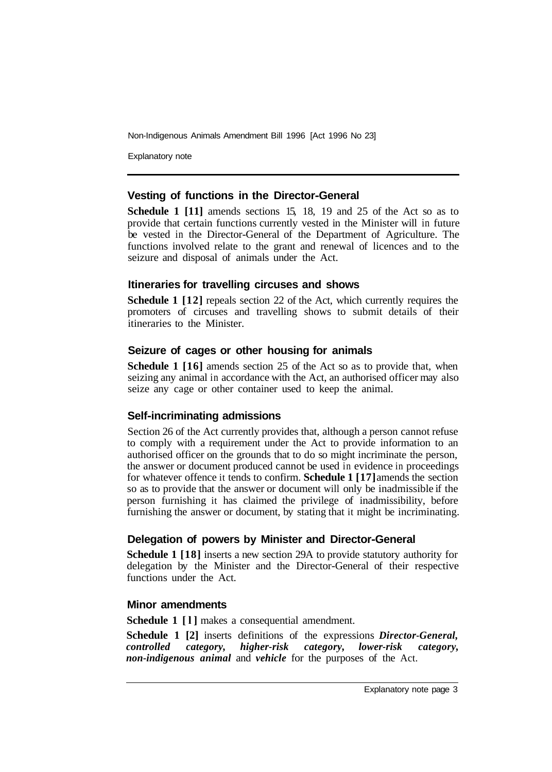Non-Indigenous Animals Amendment Bill 1996 [Act 1996 No 23]

Explanatory note

#### **Vesting of functions in the Director-General**

**Schedule 1 [11]** amends sections 15, 18, 19 and 25 of the Act so as to provide that certain functions currently vested in the Minister will in future be vested in the Director-General of the Department of Agriculture. The functions involved relate to the grant and renewal of licences and to the seizure and disposal of animals under the Act.

#### **Itineraries for travelling circuses and shows**

**Schedule 1 [12]** repeals section 22 of the Act, which currently requires the promoters of circuses and travelling shows to submit details of their itineraries to the Minister.

#### **Seizure of cages or other housing for animals**

**Schedule 1 [16]** amends section 25 of the Act so as to provide that, when seizing any animal in accordance with the Act, an authorised officer may also seize any cage or other container used to keep the animal.

#### **Self-incriminating admissions**

Section 26 of the Act currently provides that, although a person cannot refuse to comply with a requirement under the Act to provide information to an authorised officer on the grounds that to do so might incriminate the person, the answer or document produced cannot be used in evidence in proceedings for whatever offence it tends to confirm. **Schedule 1 [17]** amends the section so as to provide that the answer or document will only be inadmissible if the person furnishing it has claimed the privilege of inadmissibility, before furnishing the answer or document, by stating that it might be incriminating.

#### **Delegation of powers by Minister and Director-General**

**Schedule 1 [18]** inserts a new section 29A to provide statutory authority for delegation by the Minister and the Director-General of their respective functions under the Act.

#### **Minor amendments**

**Schedule 1** [1] makes a consequential amendment.

**Schedule 1 [2]** inserts definitions of the expressions *Director-General, controlled category, higher-risk category, lower-risk category, non-indigenous animal* and *vehicle* for the purposes of the Act.